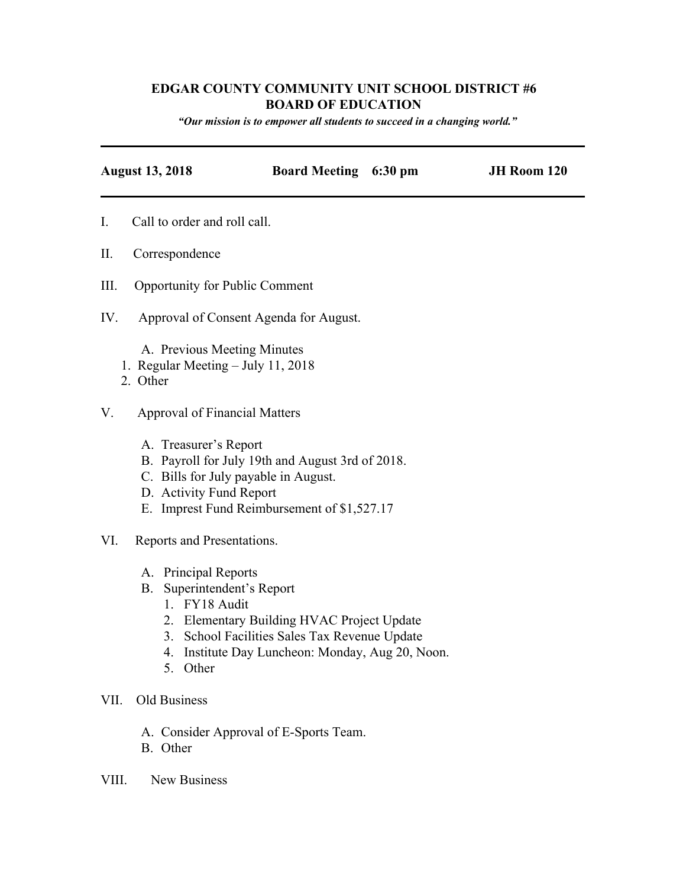## **EDGAR COUNTY COMMUNITY UNIT SCHOOL DISTRICT #6 BOARD OF EDUCATION**

*"Our mission is to empower all students to succeed in <sup>a</sup> changing world."*

| <b>August 13, 2018</b>                                                                                          | <b>Board Meeting 6:30 pm</b>                                                                                                                 | JH Room 120 |
|-----------------------------------------------------------------------------------------------------------------|----------------------------------------------------------------------------------------------------------------------------------------------|-------------|
| I.<br>Call to order and roll call.                                                                              |                                                                                                                                              |             |
| Π.<br>Correspondence                                                                                            |                                                                                                                                              |             |
| Ш.<br><b>Opportunity for Public Comment</b>                                                                     |                                                                                                                                              |             |
| IV.                                                                                                             | Approval of Consent Agenda for August.                                                                                                       |             |
| A. Previous Meeting Minutes<br>1. Regular Meeting - July 11, 2018<br>2. Other                                   |                                                                                                                                              |             |
| V.<br><b>Approval of Financial Matters</b>                                                                      |                                                                                                                                              |             |
| A. Treasurer's Report<br>D. Activity Fund Report                                                                | B. Payroll for July 19th and August 3rd of 2018.<br>C. Bills for July payable in August.<br>E. Imprest Fund Reimbursement of \$1,527.17      |             |
| VI.<br>Reports and Presentations.                                                                               |                                                                                                                                              |             |
| A. Principal Reports<br>Superintendent's Report<br><b>B.</b><br>1. FY18 Audit<br>4.<br>$\sim$<br>$\bigcap$ ther | 2. Elementary Building HVAC Project Update<br>3. School Facilities Sales Tax Revenue Update<br>Institute Day Luncheon: Monday, Aug 20, Noon. |             |

- 5. Other
- VII. Old Business
	- A. Consider Approval of E-Sports Team.
	- B. Other
- VIII. New Business